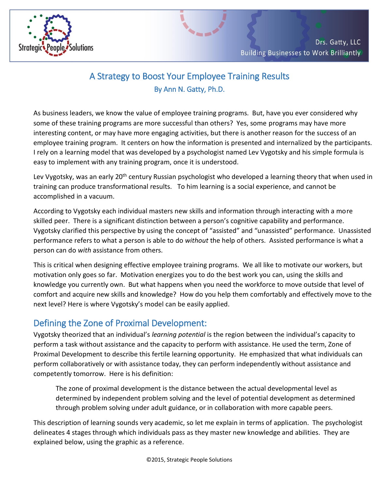

## A Strategy to Boost Your Employee Training Results By Ann N. Gatty, Ph.D.

As business leaders, we know the value of employee training programs. But, have you ever considered why some of these training programs are more successful than others? Yes, some programs may have more interesting content, or may have more engaging activities, but there is another reason for the success of an employee training program. It centers on how the information is presented and internalized by the participants. I rely on a learning model that was developed by a psychologist named Lev Vygotsky and his simple formula is easy to implement with any training program, once it is understood.

Lev Vygotsky, was an early 20<sup>th</sup> century Russian psychologist who developed a learning theory that when used in training can produce transformational results. To him learning is a social experience, and cannot be accomplished in a vacuum.

According to Vygotsky each individual masters new skills and information through interacting with a more skilled peer. There is a significant distinction between a person's cognitive capability and performance. Vygotsky clarified this perspective by using the concept of "assisted" and "unassisted" performance. Unassisted performance refers to what a person is able to do *without* the help of others. Assisted performance is what a person can do *with* assistance from others.

This is critical when designing effective employee training programs. We all like to motivate our workers, but motivation only goes so far. Motivation energizes you to do the best work you can, using the skills and knowledge you currently own. But what happens when you need the workforce to move outside that level of comfort and acquire new skills and knowledge? How do you help them comfortably and effectively move to the next level? Here is where Vygotsky's model can be easily applied.

## Defining the Zone of Proximal Development:

Vygotsky theorized that an individual's *learning potential* is the region between the individual's capacity to perform a task without assistance and the capacity to perform with assistance. He used the term, Zone of Proximal Development to describe this fertile learning opportunity. He emphasized that what individuals can perform collaboratively or with assistance today, they can perform independently without assistance and competently tomorrow. Here is his definition:

The zone of proximal development is the distance between the actual developmental level as determined by independent problem solving and the level of potential development as determined through problem solving under adult guidance, or in collaboration with more capable peers.

This description of learning sounds very academic, so let me explain in terms of application. The psychologist delineates 4 stages through which individuals pass as they master new knowledge and abilities. They are explained below, using the graphic as a reference.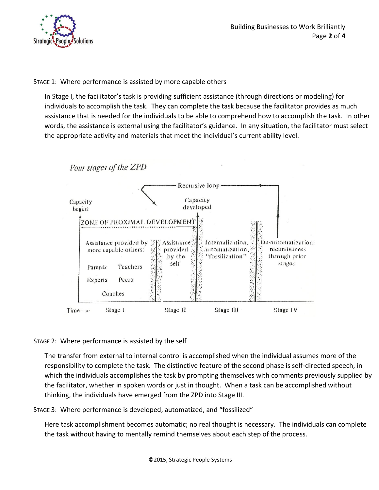

STAGE 1: Where performance is assisted by more capable others

In Stage I, the facilitator's task is providing sufficient assistance (through directions or modeling) for individuals to accomplish the task. They can complete the task because the facilitator provides as much assistance that is needed for the individuals to be able to comprehend how to accomplish the task. In other words, the assistance is external using the facilitator's guidance. In any situation, the facilitator must select the appropriate activity and materials that meet the individual's current ability level.



## STAGE 2: Where performance is assisted by the self

The transfer from external to internal control is accomplished when the individual assumes more of the responsibility to complete the task. The distinctive feature of the second phase is self-directed speech, in which the individuals accomplishes the task by prompting themselves with comments previously supplied by the facilitator, whether in spoken words or just in thought. When a task can be accomplished without thinking, the individuals have emerged from the ZPD into Stage III.

STAGE 3: Where performance is developed, automatized, and "fossilized"

Here task accomplishment becomes automatic; no real thought is necessary. The individuals can complete the task without having to mentally remind themselves about each step of the process.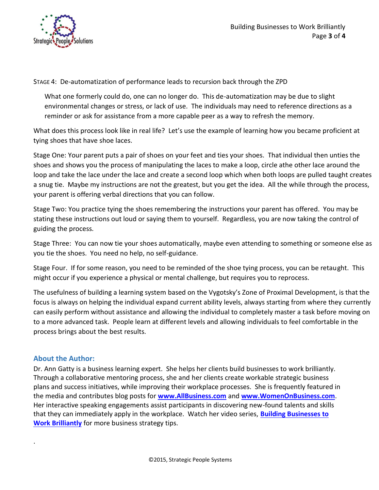

STAGE 4: De-automatization of performance leads to recursion back through the ZPD

What one formerly could do, one can no longer do. This de-automatization may be due to slight environmental changes or stress, or lack of use. The individuals may need to reference directions as a reminder or ask for assistance from a more capable peer as a way to refresh the memory.

What does this process look like in real life? Let's use the example of learning how you became proficient at tying shoes that have shoe laces.

Stage One: Your parent puts a pair of shoes on your feet and ties your shoes. That individual then unties the shoes and shows you the process of manipulating the laces to make a loop, circle athe other lace around the loop and take the lace under the lace and create a second loop which when both loops are pulled taught creates a snug tie. Maybe my instructions are not the greatest, but you get the idea. All the while through the process, your parent is offering verbal directions that you can follow.

Stage Two: You practice tying the shoes remembering the instructions your parent has offered. You may be stating these instructions out loud or saying them to yourself. Regardless, you are now taking the control of guiding the process.

Stage Three: You can now tie your shoes automatically, maybe even attending to something or someone else as you tie the shoes. You need no help, no self-guidance.

Stage Four. If for some reason, you need to be reminded of the shoe tying process, you can be retaught. This might occur if you experience a physical or mental challenge, but requires you to reprocess.

The usefulness of building a learning system based on the Vygotsky's Zone of Proximal Development, is that the focus is always on helping the individual expand current ability levels, always starting from where they currently can easily perform without assistance and allowing the individual to completely master a task before moving on to a more advanced task. People learn at different levels and allowing individuals to feel comfortable in the process brings about the best results.

## **About the Author:**

.

Dr. Ann Gatty is a business learning expert. She helps her clients build businesses to work brilliantly. Through a collaborative mentoring process, she and her clients create workable strategic business plans and success initiatives, while improving their workplace processes. She is frequently featured in the media and contributes blog posts for **[www.AllBusiness.com](http://www.allbusiness.com/)** and **[www.WomenOnBusiness.com](http://www.womenonbusiness.com/)**. Her interactive speaking engagements assist participants in discovering new-found talents and skills that they can immediately apply in the workplace. Watch her video series, **[Building Businesses to](http://pittsburghbiztvshows.com/dr-ann-gatty/)  [Work Brilliantly](http://pittsburghbiztvshows.com/dr-ann-gatty/)** for more business strategy tips.